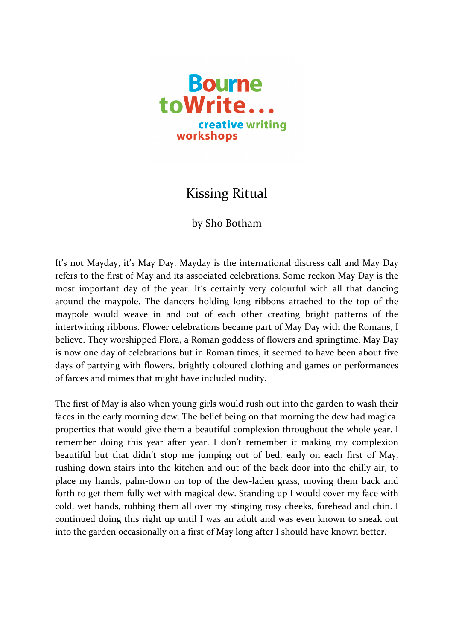

## **Kissing Ritual**

## by Sho Botham

It's not Mayday, it's May Day. Mayday is the international distress call and May Day refers to the first of May and its associated celebrations. Some reckon May Day is the most important day of the year. It's certainly very colourful with all that dancing around the maypole. The dancers holding long ribbons attached to the top of the maypole would weave in and out of each other creating bright patterns of the intertwining ribbons. Flower celebrations became part of May Day with the Romans, I believe. They worshipped Flora, a Roman goddess of flowers and springtime. May Day is now one day of celebrations but in Roman times, it seemed to have been about five days of partying with flowers, brightly coloured clothing and games or performances of farces and mimes that might have included nudity.

The first of May is also when young girls would rush out into the garden to wash their faces in the early morning dew. The belief being on that morning the dew had magical properties that would give them a beautiful complexion throughout the whole year. I remember doing this year after year. I don't remember it making my complexion beautiful but that didn't stop me jumping out of bed, early on each first of May, rushing down stairs into the kitchen and out of the back door into the chilly air, to place my hands, palm-down on top of the dew-laden grass, moving them back and forth to get them fully wet with magical dew. Standing up I would cover my face with cold, wet hands, rubbing them all over my stinging rosy cheeks, forehead and chin. I continued doing this right up until I was an adult and was even known to sneak out into the garden occasionally on a first of May long after I should have known better.